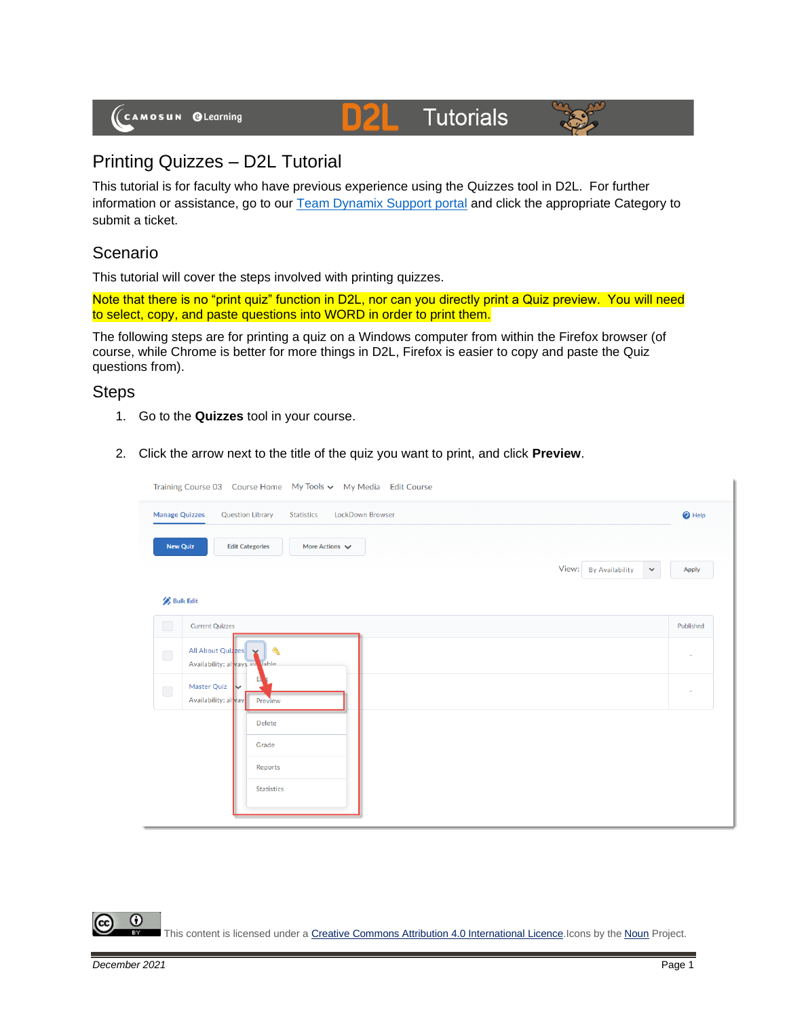#### **Tutorials** D)2



# Printing Quizzes – D2L Tutorial

This tutorial is for faculty who have previous experience using the Quizzes tool in D2L. For further information or assistance, go to our [Team Dynamix Support portal](https://camosun.teamdynamix.com/TDClient/67/Portal/Requests/ServiceCatalog?CategoryID=523) and click the appropriate Category to submit a ticket.

# Scenario

This tutorial will cover the steps involved with printing quizzes.

Note that there is no "print quiz" function in D2L, nor can you directly print a Quiz preview. You will need to select, copy, and paste questions into WORD in order to print them.

The following steps are for printing a quiz on a Windows computer from within the Firefox browser (of course, while Chrome is better for more things in D2L, Firefox is easier to copy and paste the Quiz questions from).

## **Steps**

- 1. Go to the **Quizzes** tool in your course.
- 2. Click the arrow next to the title of the quiz you want to print, and click **Preview**.

| Training Course 03  Course Home  My Tools v  My Media  Edit Course                               |                                                |  |
|--------------------------------------------------------------------------------------------------|------------------------------------------------|--|
| <b>Manage Quizzes</b><br><b>Question Library</b><br><b>LockDown Browser</b><br><b>Statistics</b> | <sup>O</sup> Help                              |  |
| <b>New Quiz</b><br><b>Edit Categories</b><br>More Actions $\sqrt{}$                              |                                                |  |
|                                                                                                  | View: By Availability<br>Apply<br>$\checkmark$ |  |
| <b>Bulk Edit</b>                                                                                 |                                                |  |
| $\Box$<br><b>Current Quizzes</b>                                                                 | Published                                      |  |
| All About Quizzes Y<br>$\triangle$<br>$\bigcirc$<br>Availability: always av lable                | $\overline{\phantom{a}}$                       |  |
| Master Quiz<br>$\Box$<br>Availability: alway<br>Preview                                          | $\overline{\phantom{a}}$                       |  |
| Delete                                                                                           |                                                |  |
| Grade                                                                                            |                                                |  |
| Reports                                                                                          |                                                |  |
| <b>Statistics</b>                                                                                |                                                |  |
|                                                                                                  |                                                |  |

Œ This content is licensed under [a Creative Commons Attribution 4.0 International Licence.I](https://creativecommons.org/licenses/by/4.0/)cons by the [Noun](https://creativecommons.org/website-icons/) Project.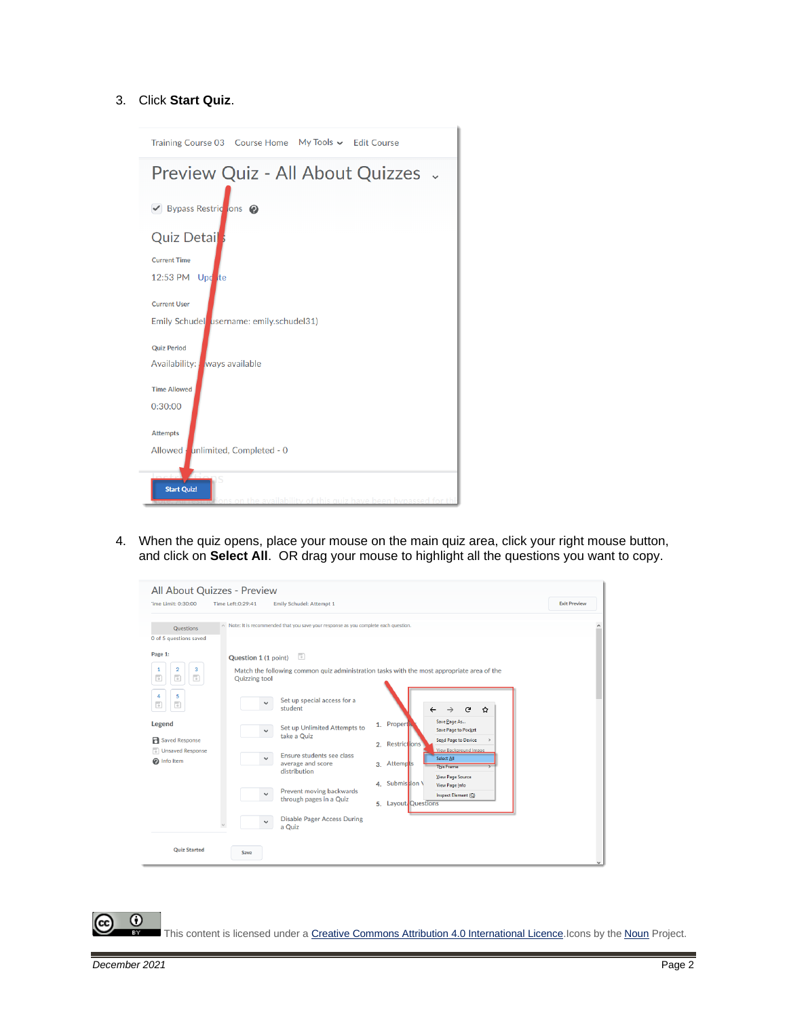### 3. Click **Start Quiz**.



4. When the quiz opens, place your mouse on the main quiz area, click your right mouse button, and click on **Select All**. OR drag your mouse to highlight all the questions you want to copy.

|                                                                                                                                                                                                                                                                                                                | All About Quizzes - Preview                                  |                                                                                                                                                                                                                                                                                                                        |                                                                                                                                                                                                                                                                                                                                                                                                             |                     |
|----------------------------------------------------------------------------------------------------------------------------------------------------------------------------------------------------------------------------------------------------------------------------------------------------------------|--------------------------------------------------------------|------------------------------------------------------------------------------------------------------------------------------------------------------------------------------------------------------------------------------------------------------------------------------------------------------------------------|-------------------------------------------------------------------------------------------------------------------------------------------------------------------------------------------------------------------------------------------------------------------------------------------------------------------------------------------------------------------------------------------------------------|---------------------|
| Time Limit: 0:30:00                                                                                                                                                                                                                                                                                            | Time Left:0:29:41                                            | Emily Schudel: Attempt 1                                                                                                                                                                                                                                                                                               |                                                                                                                                                                                                                                                                                                                                                                                                             | <b>Exit Preview</b> |
| Questions<br>0 of 5 questions saved<br>Page 1:<br>$\overline{\mathbf{2}}$<br>3<br>1<br>$\overline{\phantom{a}}$<br>$\overline{\phantom{a}}$<br>$\overline{\phantom{a}}$<br>5<br>4<br>$\overline{\phantom{a}}$<br>$\overline{\phantom{a}}$<br>Legend<br><b>R</b> Saved Response<br>Unsaved Response<br>nfo Item | Question 1 (1 point)<br><b>Quizzing tool</b><br>$\checkmark$ | $\land$ Note: It is recommended that you save your response as you complete each question.<br>$\Box$<br>Set up special access for a<br>student<br>Set up Unlimited Attempts to<br>take a Quiz<br>Ensure students see class<br>average and score<br>distribution<br>Prevent moving backwards<br>through pages in a Quiz | Match the following common quiz administration tasks with the most appropriate area of the<br>G<br>☆<br>Save Page As<br>1. Propert<br><b>Save Page to Pocket</b><br><b>Send Page to Device</b><br>2. Restrictions<br>View Background Image<br>Select All<br>3. Attempts<br><b>This Frame</b><br>View Page Source<br>4. Submission \<br><b>View Page Info</b><br>Inspect Element (Q)<br>5. Layout, Questions |                     |
| <b>Quiz Started</b>                                                                                                                                                                                                                                                                                            | $\checkmark$<br>Save                                         | <b>Disable Pager Access During</b><br>a Quiz                                                                                                                                                                                                                                                                           |                                                                                                                                                                                                                                                                                                                                                                                                             | $\checkmark$        |

 $\odot$ This content is licensed under [a Creative Commons Attribution 4.0 International Licence.I](https://creativecommons.org/licenses/by/4.0/)cons by the [Noun](https://creativecommons.org/website-icons/) Project.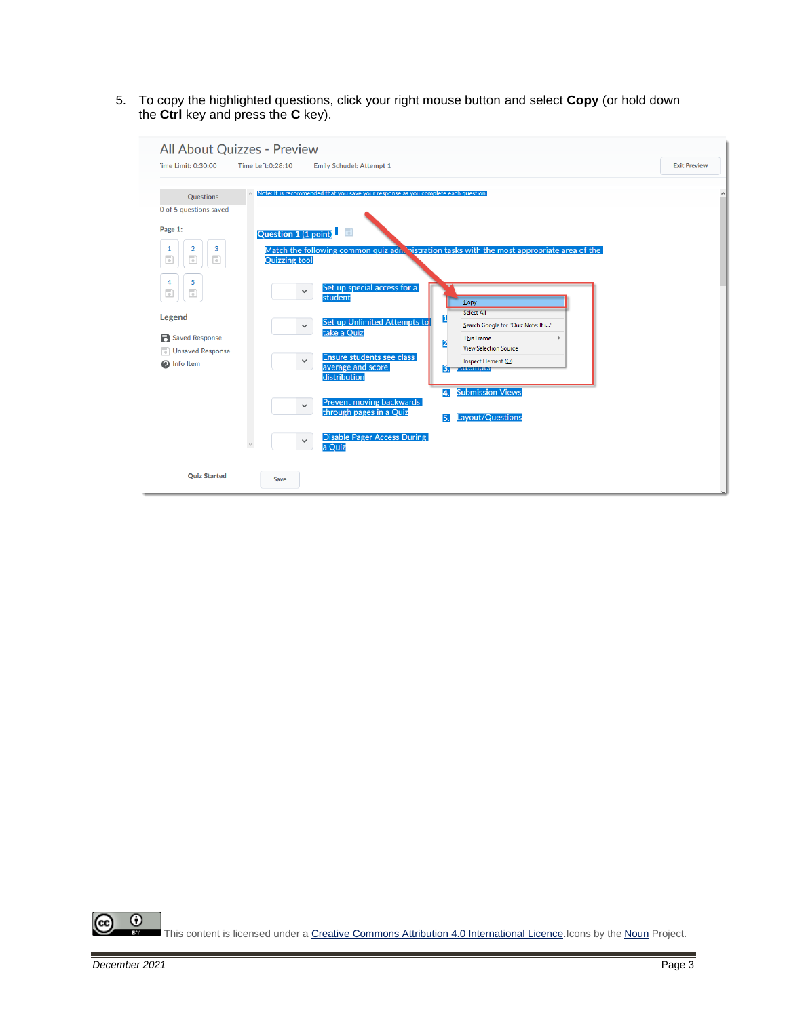5. To copy the highlighted questions, click your right mouse button and select **Copy** (or hold down the **Ctrl** key and press the **C** key).

| All About Quizzes - Preview                                                                                                                                                                                                                                                                                                                                 |                                                                                                                                                                                                                                                                                                                                                                                                                                   |                                                                                                                                                                                                                                                                                                                                                             |                     |
|-------------------------------------------------------------------------------------------------------------------------------------------------------------------------------------------------------------------------------------------------------------------------------------------------------------------------------------------------------------|-----------------------------------------------------------------------------------------------------------------------------------------------------------------------------------------------------------------------------------------------------------------------------------------------------------------------------------------------------------------------------------------------------------------------------------|-------------------------------------------------------------------------------------------------------------------------------------------------------------------------------------------------------------------------------------------------------------------------------------------------------------------------------------------------------------|---------------------|
| Time Limit: 0:30:00<br>Time Left:0:28:10                                                                                                                                                                                                                                                                                                                    | Emily Schudel: Attempt 1                                                                                                                                                                                                                                                                                                                                                                                                          |                                                                                                                                                                                                                                                                                                                                                             | <b>Exit Preview</b> |
| <b>Questions</b><br>0 of 5 questions saved<br>Page 1:<br>Question 1 (1 point)<br>2<br>3<br>1<br>$\overline{\phantom{a}}$<br>$\overline{\phantom{a}}$<br>$\overline{\phantom{a}}$<br><b>Quizzing tool</b><br>5<br>4<br>$\overline{\phantom{a}}$<br>$\overline{\phantom{a}}$<br>Legend<br><b>R</b> Saved Response<br>n<br><b>Unsaved Response</b><br>hfo Item | Note: It is recommended that you save your response as you complete each question.<br>F)<br>Set up special access for a<br>$\checkmark$<br>student<br>Set up Unlimited Attempts to<br>$\checkmark$<br>take a Quiz<br>Ensure students see class<br>$\checkmark$<br>average and score<br>distribution<br><b>Prevent moving backwards</b><br>$\checkmark$<br>through pages in a Quiz<br><b>Disable Pager Access During</b><br>a Quiz | Match the following common quiz adn. nistration tasks with the most appropriate area of the<br>Copy<br><b>Select All</b><br>1<br>Search Google for "Quiz Note: It i"<br><b>This Frame</b><br>$\rightarrow$<br>2<br><b>View Selection Source</b><br>Inspect Element (Q)<br>Б.<br><u>r utempto</u><br><b>Submission Views</b><br>4.<br>Layout/Questions<br>5. |                     |
| <b>Ouiz Started</b><br>Save                                                                                                                                                                                                                                                                                                                                 |                                                                                                                                                                                                                                                                                                                                                                                                                                   |                                                                                                                                                                                                                                                                                                                                                             |                     |

 $\overline{0}$ (cc This content is licensed under [a Creative Commons Attribution 4.0 International Licence.I](https://creativecommons.org/licenses/by/4.0/)cons by the [Noun](https://creativecommons.org/website-icons/) Project.